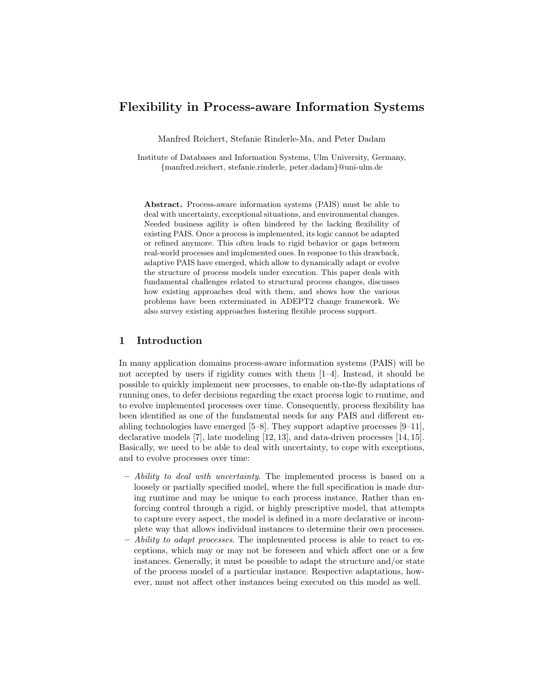# Flexibility in Process-aware Information Systems

Manfred Reichert, Stefanie Rinderle-Ma, and Peter Dadam

Institute of Databases and Information Systems, Ulm University, Germany, {manfred.reichert, stefanie.rinderle, peter.dadam}@uni-ulm.de

Abstract. Process-aware information systems (PAIS) must be able to deal with uncertainty, exceptional situations, and environmental changes. Needed business agility is often hindered by the lacking flexibility of existing PAIS. Once a process is implemented, its logic cannot be adapted or refined anymore. This often leads to rigid behavior or gaps between real-world processes and implemented ones. In response to this drawback, adaptive PAIS have emerged, which allow to dynamically adapt or evolve the structure of process models under execution. This paper deals with fundamental challenges related to structural process changes, discusses how existing approaches deal with them, and shows how the various problems have been exterminated in ADEPT2 change framework. We also survey existing approaches fostering flexible process support.

# 1 Introduction

In many application domains process-aware information systems (PAIS) will be not accepted by users if rigidity comes with them [1–4]. Instead, it should be possible to quickly implement new processes, to enable on-the-fly adaptations of running ones, to defer decisions regarding the exact process logic to runtime, and to evolve implemented processes over time. Consequently, process flexibility has been identified as one of the fundamental needs for any PAIS and different enabling technologies have emerged [5–8]. They support adaptive processes [9–11], declarative models [7], late modeling [12, 13], and data-driven processes [14, 15]. Basically, we need to be able to deal with uncertainty, to cope with exceptions, and to evolve processes over time:

- Ability to deal with uncertainty. The implemented process is based on a loosely or partially specified model, where the full specification is made during runtime and may be unique to each process instance. Rather than enforcing control through a rigid, or highly prescriptive model, that attempts to capture every aspect, the model is defined in a more declarative or incomplete way that allows individual instances to determine their own processes.
- $-$  Ability to adapt processes. The implemented process is able to react to exceptions, which may or may not be foreseen and which affect one or a few instances. Generally, it must be possible to adapt the structure and/or state of the process model of a particular instance. Respective adaptations, however, must not affect other instances being executed on this model as well.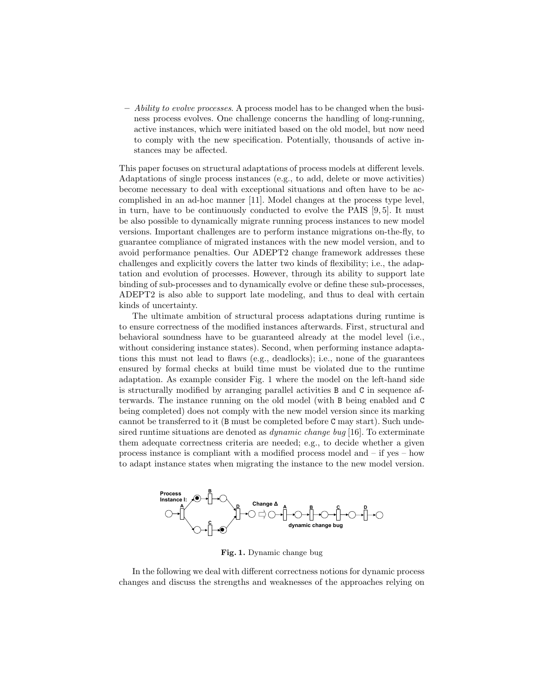– Ability to evolve processes. A process model has to be changed when the business process evolves. One challenge concerns the handling of long-running, active instances, which were initiated based on the old model, but now need to comply with the new specification. Potentially, thousands of active instances may be affected.

This paper focuses on structural adaptations of process models at different levels. Adaptations of single process instances (e.g., to add, delete or move activities) become necessary to deal with exceptional situations and often have to be accomplished in an ad-hoc manner [11]. Model changes at the process type level, in turn, have to be continuously conducted to evolve the PAIS [9, 5]. It must be also possible to dynamically migrate running process instances to new model versions. Important challenges are to perform instance migrations on-the-fly, to guarantee compliance of migrated instances with the new model version, and to avoid performance penalties. Our ADEPT2 change framework addresses these challenges and explicitly covers the latter two kinds of flexibility; i.e., the adaptation and evolution of processes. However, through its ability to support late binding of sub-processes and to dynamically evolve or define these sub-processes, ADEPT2 is also able to support late modeling, and thus to deal with certain kinds of uncertainty.

The ultimate ambition of structural process adaptations during runtime is to ensure correctness of the modified instances afterwards. First, structural and behavioral soundness have to be guaranteed already at the model level (i.e., without considering instance states). Second, when performing instance adaptations this must not lead to flaws (e.g., deadlocks); i.e., none of the guarantees ensured by formal checks at build time must be violated due to the runtime adaptation. As example consider Fig. 1 where the model on the left-hand side is structurally modified by arranging parallel activities B and C in sequence afterwards. The instance running on the old model (with B being enabled and C being completed) does not comply with the new model version since its marking cannot be transferred to it (B must be completed before C may start). Such undesired runtime situations are denoted as dynamic change bug [16]. To exterminate them adequate correctness criteria are needed; e.g., to decide whether a given process instance is compliant with a modified process model and – if yes – how to adapt instance states when migrating the instance to the new model version.



Fig. 1. Dynamic change bug

In the following we deal with different correctness notions for dynamic process changes and discuss the strengths and weaknesses of the approaches relying on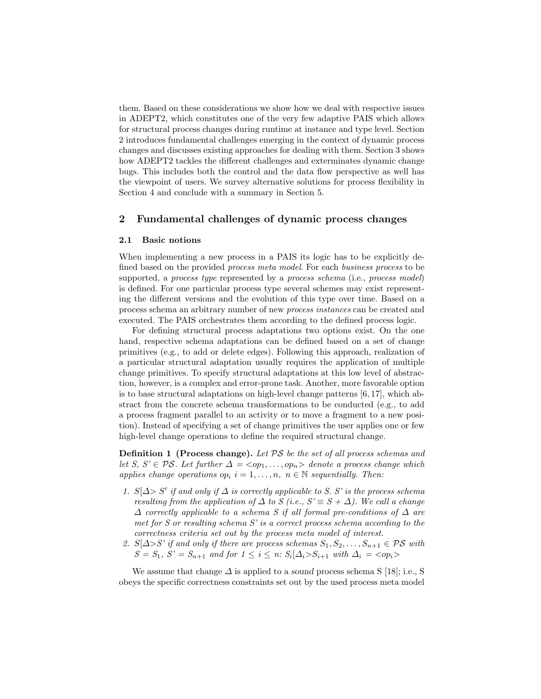them. Based on these considerations we show how we deal with respective issues in ADEPT2, which constitutes one of the very few adaptive PAIS which allows for structural process changes during runtime at instance and type level. Section 2 introduces fundamental challenges emerging in the context of dynamic process changes and discusses existing approaches for dealing with them. Section 3 shows how ADEPT2 tackles the different challenges and exterminates dynamic change bugs. This includes both the control and the data flow perspective as well has the viewpoint of users. We survey alternative solutions for process flexibility in Section 4 and conclude with a summary in Section 5.

## 2 Fundamental challenges of dynamic process changes

#### 2.1 Basic notions

When implementing a new process in a PAIS its logic has to be explicitly defined based on the provided process meta model. For each business process to be supported, a process type represented by a process schema (i.e., process model) is defined. For one particular process type several schemes may exist representing the different versions and the evolution of this type over time. Based on a process schema an arbitrary number of new process instances can be created and executed. The PAIS orchestrates them according to the defined process logic.

For defining structural process adaptations two options exist. On the one hand, respective schema adaptations can be defined based on a set of change primitives (e.g., to add or delete edges). Following this approach, realization of a particular structural adaptation usually requires the application of multiple change primitives. To specify structural adaptations at this low level of abstraction, however, is a complex and error-prone task. Another, more favorable option is to base structural adaptations on high-level change patterns [6, 17], which abstract from the concrete schema transformations to be conducted (e.g., to add a process fragment parallel to an activity or to move a fragment to a new position). Instead of specifying a set of change primitives the user applies one or few high-level change operations to define the required structural change.

**Definition 1 (Process change).** Let  $PS$  be the set of all process schemas and let S, S' ∈ PS. Let further  $\Delta = \langle op_1, \ldots, op_n \rangle$  denote a process change which applies change operations op<sub>i</sub>  $i = 1, \ldots, n, n \in \mathbb{N}$  sequentially. Then:

- 1.  $S[\Delta S'$  if and only if  $\Delta$  is correctly applicable to S. S' is the process schema resulting from the application of  $\Delta$  to S (i.e.,  $S' \equiv S + \Delta$ ). We call a change  $\Delta$  correctly applicable to a schema S if all formal pre-conditions of  $\Delta$  are met for S or resulting schema S' is a correct process schema according to the correctness criteria set out by the process meta model of interest.
- 2.  $S[\Delta>S'$  if and only if there are process schemas  $S_1, S_2, \ldots, S_{n+1} \in \mathcal{PS}$  with  $S = S_1$ ,  $S' = S_{n+1}$  and for  $1 \leq i \leq n$ :  $S_i[\Delta_i > S_{i+1}$  with  $\Delta_i = \langle op_i \rangle$

We assume that change  $\Delta$  is applied to a sound process schema S [18]; i.e., S obeys the specific correctness constraints set out by the used process meta model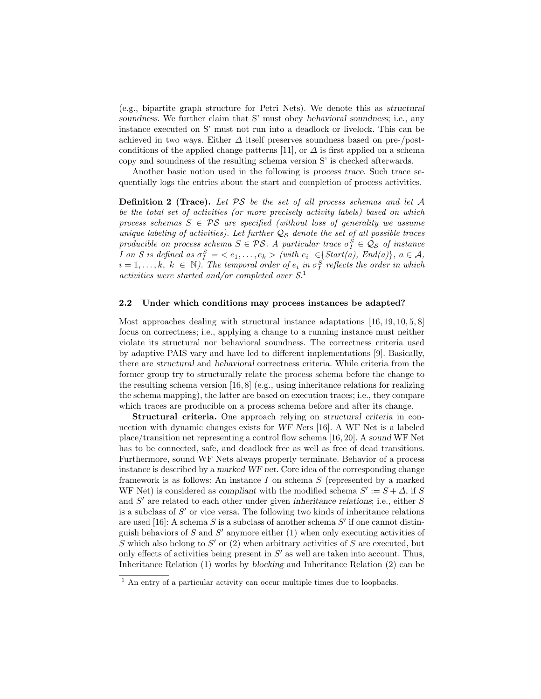(e.g., bipartite graph structure for Petri Nets). We denote this as structural soundness. We further claim that S' must obey behavioral soundness; i.e., any instance executed on S' must not run into a deadlock or livelock. This can be achieved in two ways. Either  $\Delta$  itself preserves soundness based on pre-/postconditions of the applied change patterns [11], or  $\Delta$  is first applied on a schema copy and soundness of the resulting schema version S' is checked afterwards.

Another basic notion used in the following is process trace. Such trace sequentially logs the entries about the start and completion of process activities.

**Definition 2 (Trace).** Let  $PS$  be the set of all process schemas and let  $\mathcal A$ be the total set of activities (or more precisely activity labels) based on which process schemas  $S \in \mathcal{PS}$  are specified (without loss of generality we assume unique labeling of activities). Let further  $\mathcal{Q}_{\mathcal{S}}$  denote the set of all possible traces producible on process schema  $S \in \mathcal{PS}$ . A particular trace  $\sigma_I^S \in \mathcal{Q}_{\mathcal{S}}$  of instance *I* on *S* is defined as  $\sigma_I^S = \langle e_1, \ldots, e_k \rangle$  (with  $e_i \in \{Start(a), End(a)\}, a \in \mathcal{A},$  $i = 1, \ldots, k, k \in \mathbb{N}$ ). The temporal order of  $e_i$  in  $\sigma_i^S$  reflects the order in which activities were started and/or completed over S.<sup>1</sup>

#### 2.2 Under which conditions may process instances be adapted?

Most approaches dealing with structural instance adaptations [16, 19, 10, 5, 8] focus on correctness; i.e., applying a change to a running instance must neither violate its structural nor behavioral soundness. The correctness criteria used by adaptive PAIS vary and have led to different implementations [9]. Basically, there are structural and behavioral correctness criteria. While criteria from the former group try to structurally relate the process schema before the change to the resulting schema version [16, 8] (e.g., using inheritance relations for realizing the schema mapping), the latter are based on execution traces; i.e., they compare which traces are producible on a process schema before and after its change.

Structural criteria. One approach relying on structural criteria in connection with dynamic changes exists for WF Nets [16]. A WF Net is a labeled place/transition net representing a control flow schema [16, 20]. A sound WF Net has to be connected, safe, and deadlock free as well as free of dead transitions. Furthermore, sound WF Nets always properly terminate. Behavior of a process instance is described by a marked WF net. Core idea of the corresponding change framework is as follows: An instance  $I$  on schema  $S$  (represented by a marked WF Net) is considered as compliant with the modified schema  $S' := S + \Delta$ , if S and  $S'$  are related to each other under given inheritance relations; i.e., either  $S$ is a subclass of  $S'$  or vice versa. The following two kinds of inheritance relations are used [16]: A schema S is a subclass of another schema  $S'$  if one cannot distinguish behaviors of  $S$  and  $S'$  anymore either  $(1)$  when only executing activities of S which also belong to  $S'$  or (2) when arbitrary activities of S are executed, but only effects of activities being present in  $S'$  as well are taken into account. Thus, Inheritance Relation (1) works by blocking and Inheritance Relation (2) can be

 $\frac{1}{1}$  An entry of a particular activity can occur multiple times due to loopbacks.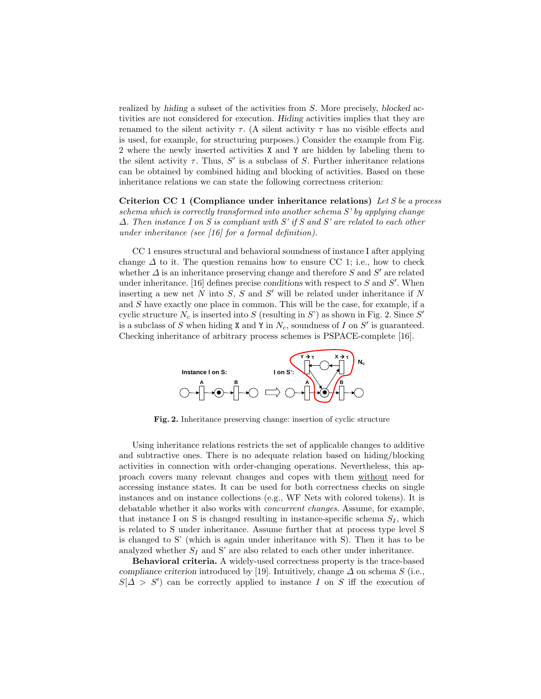realized by hiding a subset of the activities from S. More precisely, blocked activities are not considered for execution. Hiding activities implies that they are renamed to the silent activity  $\tau$ . (A silent activity  $\tau$  has no visible effects and is used, for example, for structuring purposes.) Consider the example from Fig. 2 where the newly inserted activities X and Y are hidden by labeling them to the silent activity  $\tau$ . Thus,  $S'$  is a subclass of S. Further inheritance relations can be obtained by combined hiding and blocking of activities. Based on these inheritance relations we can state the following correctness criterion:

Criterion CC 1 (Compliance under inheritance relations) Let S be a process schema which is correctly transformed into another schema S' by applying change ∆. Then instance I on S is compliant with S' if S and S' are related to each other under inheritance (see  $[16]$  for a formal definition).

CC 1 ensures structural and behavioral soundness of instance I after applying change  $\Delta$  to it. The question remains how to ensure CC 1; i.e., how to check whether  $\Delta$  is an inheritance preserving change and therefore S and S' are related under inheritance. [16] defines precise conditions with respect to  $S$  and  $S'$ . When inserting a new net N into  $S, S$  and  $S'$  will be related under inheritance if N and S have exactly one place in common. This will be the case, for example, if a cyclic structure  $N_c$  is inserted into S (resulting in S') as shown in Fig. 2. Since S' is a subclass of S when hiding X and Y in  $N_c$ , soundness of I on S' is guaranteed. Checking inheritance of arbitrary process schemes is PSPACE-complete [16].



Fig. 2. Inheritance preserving change: insertion of cyclic structure

Using inheritance relations restricts the set of applicable changes to additive and subtractive ones. There is no adequate relation based on hiding/blocking activities in connection with order-changing operations. Nevertheless, this approach covers many relevant changes and copes with them without need for accessing instance states. It can be used for both correctness checks on single instances and on instance collections (e.g., WF Nets with colored tokens). It is debatable whether it also works with concurrent changes. Assume, for example, that instance I on S is changed resulting in instance-specific schema  $S_I$ , which is related to S under inheritance. Assume further that at process type level S is changed to S' (which is again under inheritance with S). Then it has to be analyzed whether  $S_I$  and S' are also related to each other under inheritance.

Behavioral criteria. A widely-used correctness property is the trace-based compliance criterion introduced by [19]. Intuitively, change  $\Delta$  on schema S (i.e.,  $S[\Delta > S']$  can be correctly applied to instance I on S iff the execution of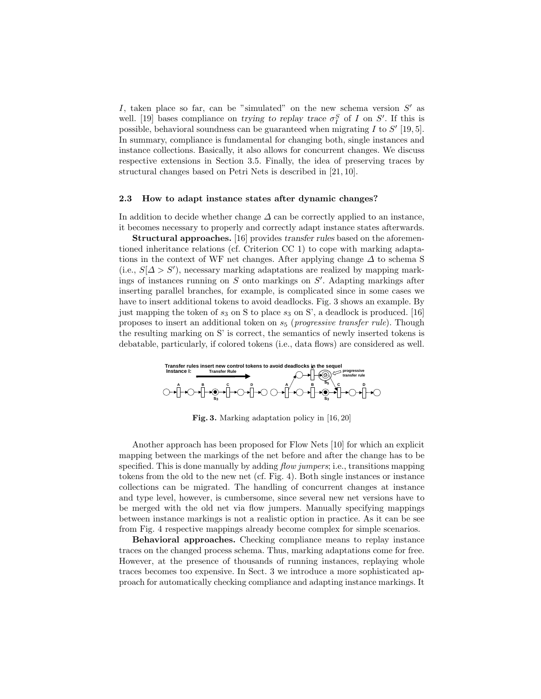I, taken place so far, can be "simulated" on the new schema version  $S'$  as well. [19] bases compliance on trying to replay trace  $\sigma_I^S$  of I on S'. If this is possible, behavioral soundness can be guaranteed when migrating  $I$  to  $S'$  [19,5]. In summary, compliance is fundamental for changing both, single instances and instance collections. Basically, it also allows for concurrent changes. We discuss respective extensions in Section 3.5. Finally, the idea of preserving traces by structural changes based on Petri Nets is described in [21, 10].

#### 2.3 How to adapt instance states after dynamic changes?

In addition to decide whether change  $\Delta$  can be correctly applied to an instance, it becomes necessary to properly and correctly adapt instance states afterwards.

Structural approaches. [16] provides transfer rules based on the aforementioned inheritance relations (cf. Criterion CC 1) to cope with marking adaptations in the context of WF net changes. After applying change  $\Delta$  to schema S (i.e.,  $S[\Delta > S']$ , necessary marking adaptations are realized by mapping markings of instances running on  $S$  onto markings on  $S'$ . Adapting markings after inserting parallel branches, for example, is complicated since in some cases we have to insert additional tokens to avoid deadlocks. Fig. 3 shows an example. By just mapping the token of  $s_3$  on S to place  $s_3$  on S', a deadlock is produced. [16] proposes to insert an additional token on  $s_5$  (*progressive transfer rule*). Though the resulting marking on S' is correct, the semantics of newly inserted tokens is debatable, particularly, if colored tokens (i.e., data flows) are considered as well.



Fig. 3. Marking adaptation policy in [16, 20]

Another approach has been proposed for Flow Nets [10] for which an explicit mapping between the markings of the net before and after the change has to be specified. This is done manually by adding *flow jumpers*; i.e., transitions mapping tokens from the old to the new net (cf. Fig. 4). Both single instances or instance collections can be migrated. The handling of concurrent changes at instance and type level, however, is cumbersome, since several new net versions have to be merged with the old net via flow jumpers. Manually specifying mappings between instance markings is not a realistic option in practice. As it can be see from Fig. 4 respective mappings already become complex for simple scenarios.

Behavioral approaches. Checking compliance means to replay instance traces on the changed process schema. Thus, marking adaptations come for free. However, at the presence of thousands of running instances, replaying whole traces becomes too expensive. In Sect. 3 we introduce a more sophisticated approach for automatically checking compliance and adapting instance markings. It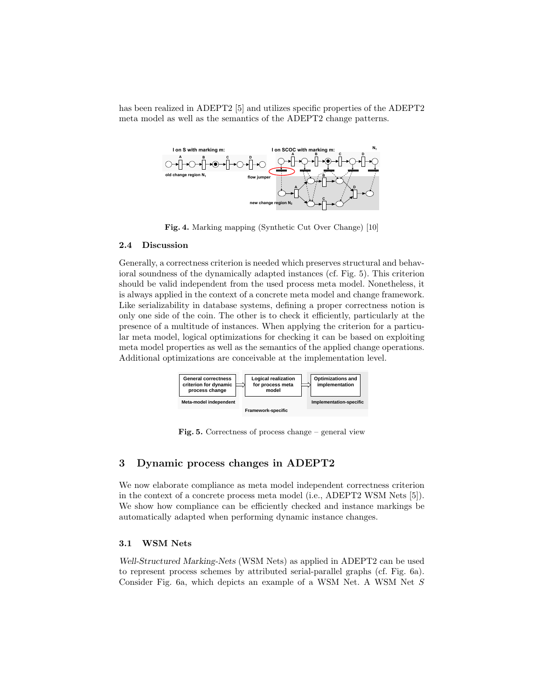has been realized in ADEPT2 [5] and utilizes specific properties of the ADEPT2 meta model as well as the semantics of the ADEPT2 change patterns.



Fig. 4. Marking mapping (Synthetic Cut Over Change) [10]

### 2.4 Discussion

Generally, a correctness criterion is needed which preserves structural and behavioral soundness of the dynamically adapted instances (cf. Fig. 5). This criterion should be valid independent from the used process meta model. Nonetheless, it is always applied in the context of a concrete meta model and change framework. Like serializability in database systems, defining a proper correctness notion is only one side of the coin. The other is to check it efficiently, particularly at the presence of a multitude of instances. When applying the criterion for a particular meta model, logical optimizations for checking it can be based on exploiting meta model properties as well as the semantics of the applied change operations. Additional optimizations are conceivable at the implementation level.



Fig. 5. Correctness of process change – general view

# 3 Dynamic process changes in ADEPT2

We now elaborate compliance as meta model independent correctness criterion in the context of a concrete process meta model (i.e., ADEPT2 WSM Nets [5]). We show how compliance can be efficiently checked and instance markings be automatically adapted when performing dynamic instance changes.

### 3.1 WSM Nets

Well-Structured Marking-Nets (WSM Nets) as applied in ADEPT2 can be used to represent process schemes by attributed serial-parallel graphs (cf. Fig. 6a). Consider Fig. 6a, which depicts an example of a WSM Net. A WSM Net S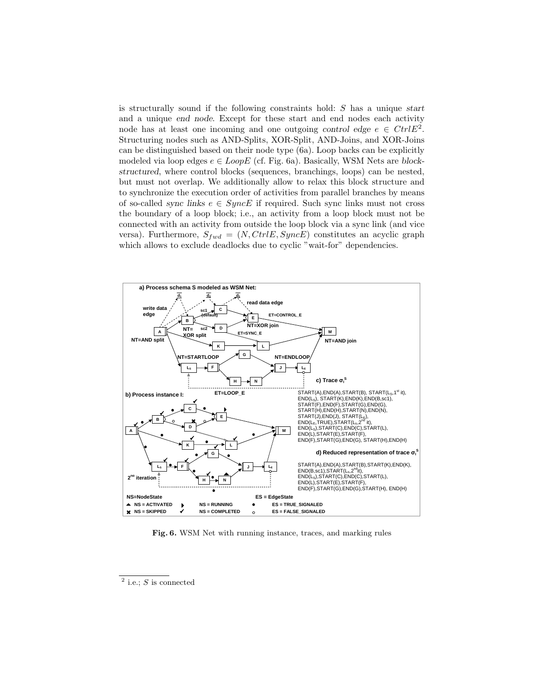is structurally sound if the following constraints hold:  $S$  has a unique start and a unique end node. Except for these start and end nodes each activity node has at least one incoming and one outgoing control edge  $e \in Ctr \ddot{E}^2$ . Structuring nodes such as AND-Splits, XOR-Split, AND-Joins, and XOR-Joins can be distinguished based on their node type (6a). Loop backs can be explicitly modeled via loop edges  $e \in LoopE$  (cf. Fig. 6a). Basically, WSM Nets are blockstructured, where control blocks (sequences, branchings, loops) can be nested, but must not overlap. We additionally allow to relax this block structure and to synchronize the execution order of activities from parallel branches by means of so-called sync links  $e \in SyncE$  if required. Such sync links must not cross the boundary of a loop block; i.e., an activity from a loop block must not be connected with an activity from outside the loop block via a sync link (and vice versa). Furthermore,  $S_{fwd} = (N, CtrlE, SyncE)$  constitutes an acyclic graph which allows to exclude deadlocks due to cyclic "wait-for" dependencies.



Fig. 6. WSM Net with running instance, traces, and marking rules

 $2$  i.e.; S is connected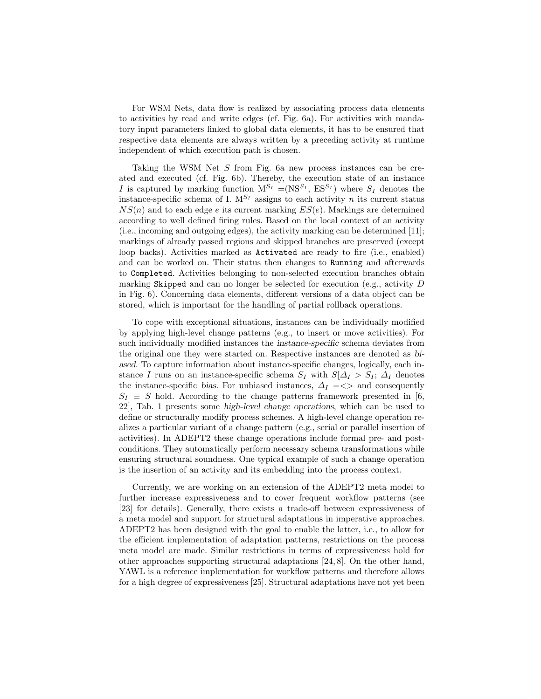For WSM Nets, data flow is realized by associating process data elements to activities by read and write edges (cf. Fig. 6a). For activities with mandatory input parameters linked to global data elements, it has to be ensured that respective data elements are always written by a preceding activity at runtime independent of which execution path is chosen.

Taking the WSM Net S from Fig. 6a new process instances can be created and executed (cf. Fig. 6b). Thereby, the execution state of an instance I is captured by marking function  $M^{S_I} = (NS^{S_I}, ES^{S_I})$  where  $S_I$  denotes the instance-specific schema of I.  $M^{S_I}$  assigns to each activity n its current status  $NS(n)$  and to each edge e its current marking  $ES(e)$ . Markings are determined according to well defined firing rules. Based on the local context of an activity (i.e., incoming and outgoing edges), the activity marking can be determined [11]; markings of already passed regions and skipped branches are preserved (except loop backs). Activities marked as Activated are ready to fire (i.e., enabled) and can be worked on. Their status then changes to Running and afterwards to Completed. Activities belonging to non-selected execution branches obtain marking Skipped and can no longer be selected for execution (e.g., activity D in Fig. 6). Concerning data elements, different versions of a data object can be stored, which is important for the handling of partial rollback operations.

To cope with exceptional situations, instances can be individually modified by applying high-level change patterns (e.g., to insert or move activities). For such individually modified instances the *instance-specific* schema deviates from the original one they were started on. Respective instances are denoted as biased. To capture information about instance-specific changes, logically, each instance I runs on an instance-specific schema  $S_I$  with  $S[\Delta_I > S_I; \Delta_I]$  denotes the instance-specific bias. For unbiased instances,  $\Delta_I = \langle \rangle$  and consequently  $S_I \equiv S$  hold. According to the change patterns framework presented in [6, 22], Tab. 1 presents some high-level change operations, which can be used to define or structurally modify process schemes. A high-level change operation realizes a particular variant of a change pattern (e.g., serial or parallel insertion of activities). In ADEPT2 these change operations include formal pre- and postconditions. They automatically perform necessary schema transformations while ensuring structural soundness. One typical example of such a change operation is the insertion of an activity and its embedding into the process context.

Currently, we are working on an extension of the ADEPT2 meta model to further increase expressiveness and to cover frequent workflow patterns (see [23] for details). Generally, there exists a trade-off between expressiveness of a meta model and support for structural adaptations in imperative approaches. ADEPT2 has been designed with the goal to enable the latter, i.e., to allow for the efficient implementation of adaptation patterns, restrictions on the process meta model are made. Similar restrictions in terms of expressiveness hold for other approaches supporting structural adaptations [24, 8]. On the other hand, YAWL is a reference implementation for workflow patterns and therefore allows for a high degree of expressiveness [25]. Structural adaptations have not yet been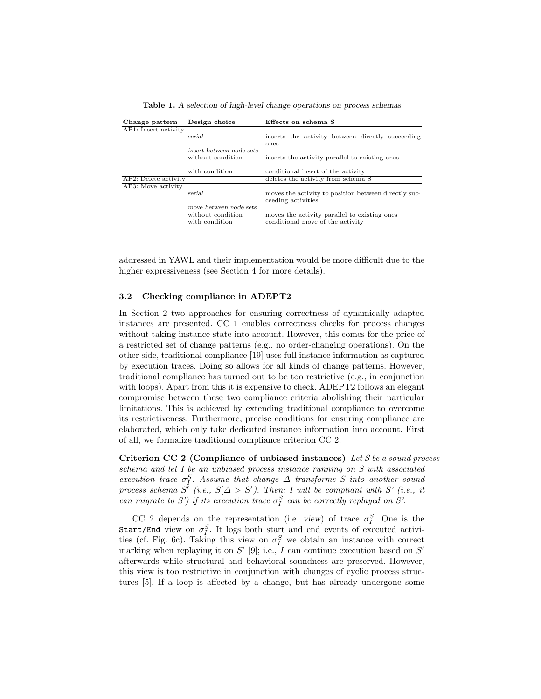| Change pattern       | Design choice                                                 | Effects on schema S                                                              |
|----------------------|---------------------------------------------------------------|----------------------------------------------------------------------------------|
| AP1: Insert activity |                                                               |                                                                                  |
|                      | serial                                                        | inserts the activity between directly succeeding<br>ones                         |
|                      | insert between node sets<br>without condition                 | inserts the activity parallel to existing ones                                   |
|                      | with condition                                                | conditional insert of the activity                                               |
| AP2: Delete activity |                                                               | deletes the activity from schema S                                               |
| AP3: Move activity   | serial                                                        | moves the activity to position between directly suc-<br>ceeding activities       |
|                      | move between node sets<br>without condition<br>with condition | moves the activity parallel to existing ones<br>conditional move of the activity |

Table 1. A selection of high-level change operations on process schemas

addressed in YAWL and their implementation would be more difficult due to the higher expressiveness (see Section 4 for more details).

#### 3.2 Checking compliance in ADEPT2

In Section 2 two approaches for ensuring correctness of dynamically adapted instances are presented. CC 1 enables correctness checks for process changes without taking instance state into account. However, this comes for the price of a restricted set of change patterns (e.g., no order-changing operations). On the other side, traditional compliance [19] uses full instance information as captured by execution traces. Doing so allows for all kinds of change patterns. However, traditional compliance has turned out to be too restrictive (e.g., in conjunction with loops). Apart from this it is expensive to check. ADEPT2 follows an elegant compromise between these two compliance criteria abolishing their particular limitations. This is achieved by extending traditional compliance to overcome its restrictiveness. Furthermore, precise conditions for ensuring compliance are elaborated, which only take dedicated instance information into account. First of all, we formalize traditional compliance criterion CC 2:

Criterion CC 2 (Compliance of unbiased instances) Let S be a sound process schema and let I be an unbiased process instance running on S with associated execution trace  $\sigma_I^S$ . Assume that change  $\Delta$  transforms S into another sound process schema S' (i.e.,  $S[\Delta > S']$ ). Then: I will be compliant with S' (i.e., it can migrate to S') if its execution trace  $\sigma_I^S$  can be correctly replayed on S'.

CC 2 depends on the representation (i.e. view) of trace  $\sigma_I^S$ . One is the Start/End view on  $\sigma_I^S$ . It logs both start and end events of executed activities (cf. Fig. 6c). Taking this view on  $\sigma_I^S$  we obtain an instance with correct marking when replaying it on  $S'$  [9]; i.e., I can continue execution based on  $S'$ afterwards while structural and behavioral soundness are preserved. However, this view is too restrictive in conjunction with changes of cyclic process structures [5]. If a loop is affected by a change, but has already undergone some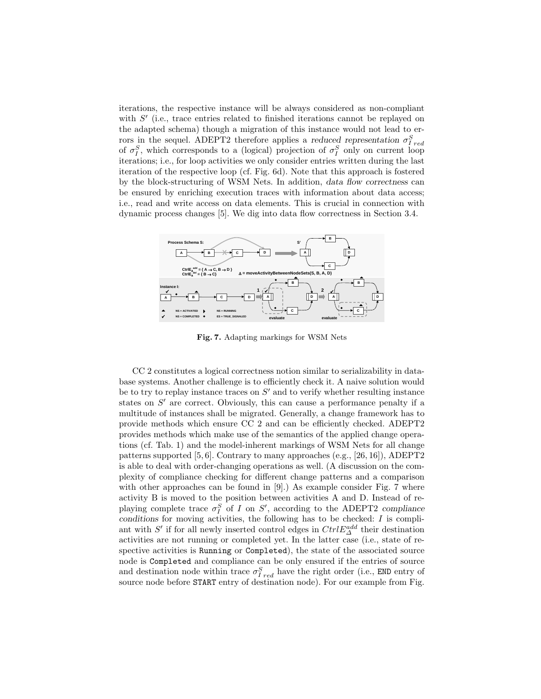iterations, the respective instance will be always considered as non-compliant with  $S'$  (i.e., trace entries related to finished iterations cannot be replayed on the adapted schema) though a migration of this instance would not lead to errors in the sequel. ADEPT2 therefore applies a reduced representation  $\sigma_{I_{red}}^{S}$ of  $\sigma_I^S$ , which corresponds to a (logical) projection of  $\sigma_I^S$  only on current loop iterations; i.e., for loop activities we only consider entries written during the last iteration of the respective loop (cf. Fig. 6d). Note that this approach is fostered by the block-structuring of WSM Nets. In addition, data flow correctness can be ensured by enriching execution traces with information about data access; i.e., read and write access on data elements. This is crucial in connection with dynamic process changes [5]. We dig into data flow correctness in Section 3.4.



Fig. 7. Adapting markings for WSM Nets

CC 2 constitutes a logical correctness notion similar to serializability in database systems. Another challenge is to efficiently check it. A naive solution would be to try to replay instance traces on  $S'$  and to verify whether resulting instance states on  $S'$  are correct. Obviously, this can cause a performance penalty if a multitude of instances shall be migrated. Generally, a change framework has to provide methods which ensure CC 2 and can be efficiently checked. ADEPT2 provides methods which make use of the semantics of the applied change operations (cf. Tab. 1) and the model-inherent markings of WSM Nets for all change patterns supported [5, 6]. Contrary to many approaches (e.g., [26, 16]), ADEPT2 is able to deal with order-changing operations as well. (A discussion on the complexity of compliance checking for different change patterns and a comparison with other approaches can be found in [9].) As example consider Fig. 7 where activity B is moved to the position between activities A and D. Instead of replaying complete trace  $\sigma_I^S$  of I on S', according to the ADEPT2 compliance conditions for moving activities, the following has to be checked:  $I$  is compliant with  $S'$  if for all newly inserted control edges in  $CtrlE_{\Delta}^{add}$  their destination activities are not running or completed yet. In the latter case (i.e., state of respective activities is Running or Completed), the state of the associated source node is Completed and compliance can be only ensured if the entries of source and destination node within trace  $\sigma_{I\ red}^{S}$  have the right order (i.e., END entry of source node before START entry of destination node). For our example from Fig.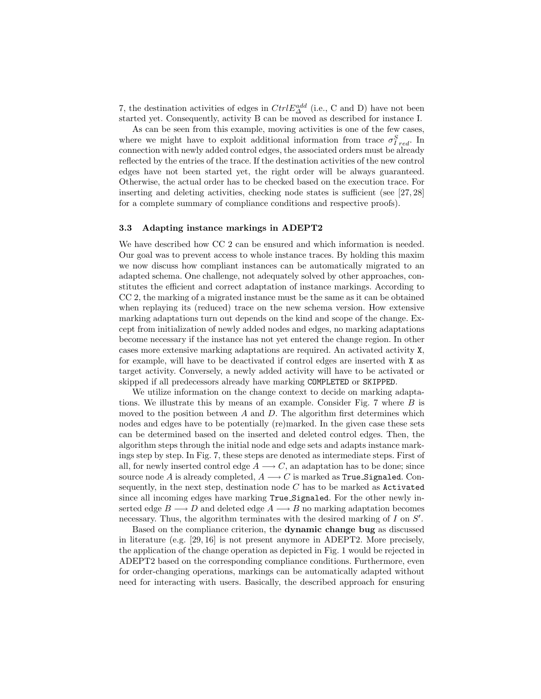7, the destination activities of edges in  $CtrlE_{\Delta}^{add}$  (i.e., C and D) have not been started yet. Consequently, activity B can be moved as described for instance I.

As can be seen from this example, moving activities is one of the few cases, where we might have to exploit additional information from trace  $\sigma_{I\ red}^{S}$ . In connection with newly added control edges, the associated orders must be already reflected by the entries of the trace. If the destination activities of the new control edges have not been started yet, the right order will be always guaranteed. Otherwise, the actual order has to be checked based on the execution trace. For inserting and deleting activities, checking node states is sufficient (see [27, 28] for a complete summary of compliance conditions and respective proofs).

#### 3.3 Adapting instance markings in ADEPT2

We have described how CC 2 can be ensured and which information is needed. Our goal was to prevent access to whole instance traces. By holding this maxim we now discuss how compliant instances can be automatically migrated to an adapted schema. One challenge, not adequately solved by other approaches, constitutes the efficient and correct adaptation of instance markings. According to CC 2, the marking of a migrated instance must be the same as it can be obtained when replaying its (reduced) trace on the new schema version. How extensive marking adaptations turn out depends on the kind and scope of the change. Except from initialization of newly added nodes and edges, no marking adaptations become necessary if the instance has not yet entered the change region. In other cases more extensive marking adaptations are required. An activated activity X, for example, will have to be deactivated if control edges are inserted with X as target activity. Conversely, a newly added activity will have to be activated or skipped if all predecessors already have marking COMPLETED or SKIPPED.

We utilize information on the change context to decide on marking adaptations. We illustrate this by means of an example. Consider Fig. 7 where  $B$  is moved to the position between  $A$  and  $D$ . The algorithm first determines which nodes and edges have to be potentially (re)marked. In the given case these sets can be determined based on the inserted and deleted control edges. Then, the algorithm steps through the initial node and edge sets and adapts instance markings step by step. In Fig. 7, these steps are denoted as intermediate steps. First of all, for newly inserted control edge  $A \longrightarrow C$ , an adaptation has to be done; since source node A is already completed,  $A \longrightarrow C$  is marked as True Signaled. Consequently, in the next step, destination node  $C$  has to be marked as Activated since all incoming edges have marking True Signaled. For the other newly inserted edge  $B \longrightarrow D$  and deleted edge  $A \longrightarrow B$  no marking adaptation becomes necessary. Thus, the algorithm terminates with the desired marking of  $I$  on  $S'$ .

Based on the compliance criterion, the dynamic change bug as discussed in literature (e.g. [29, 16] is not present anymore in ADEPT2. More precisely, the application of the change operation as depicted in Fig. 1 would be rejected in ADEPT2 based on the corresponding compliance conditions. Furthermore, even for order-changing operations, markings can be automatically adapted without need for interacting with users. Basically, the described approach for ensuring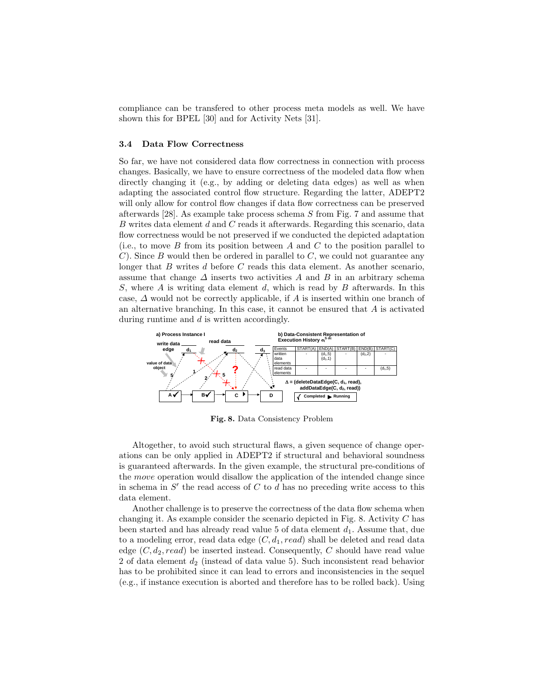compliance can be transfered to other process meta models as well. We have shown this for BPEL [30] and for Activity Nets [31].

#### 3.4 Data Flow Correctness

So far, we have not considered data flow correctness in connection with process changes. Basically, we have to ensure correctness of the modeled data flow when directly changing it (e.g., by adding or deleting data edges) as well as when adapting the associated control flow structure. Regarding the latter, ADEPT2 will only allow for control flow changes if data flow correctness can be preserved afterwards [28]. As example take process schema S from Fig. 7 and assume that  $B$  writes data element  $d$  and  $C$  reads it afterwards. Regarding this scenario, data flow correctness would be not preserved if we conducted the depicted adaptation (i.e., to move  $B$  from its position between  $A$  and  $C$  to the position parallel to  $C$ ). Since B would then be ordered in parallel to C, we could not guarantee any longer that  $B$  writes  $d$  before  $C$  reads this data element. As another scenario, assume that change  $\Delta$  inserts two activities A and B in an arbitrary schema S, where A is writing data element d, which is read by B afterwards. In this case,  $\Delta$  would not be correctly applicable, if A is inserted within one branch of an alternative branching. In this case, it cannot be ensured that  $A$  is activated during runtime and  $d$  is written accordingly.



Fig. 8. Data Consistency Problem

Altogether, to avoid such structural flaws, a given sequence of change operations can be only applied in ADEPT2 if structural and behavioral soundness is guaranteed afterwards. In the given example, the structural pre-conditions of the move operation would disallow the application of the intended change since in schema in  $S'$  the read access of  $C$  to  $d$  has no preceding write access to this data element.

Another challenge is to preserve the correctness of the data flow schema when changing it. As example consider the scenario depicted in Fig. 8. Activity  $C$  has been started and has already read value 5 of data element  $d_1$ . Assume that, due to a modeling error, read data edge  $(C, d_1, read)$  shall be deleted and read data edge  $(C, d_2, read)$  be inserted instead. Consequently, C should have read value 2 of data element  $d_2$  (instead of data value 5). Such inconsistent read behavior has to be prohibited since it can lead to errors and inconsistencies in the sequel (e.g., if instance execution is aborted and therefore has to be rolled back). Using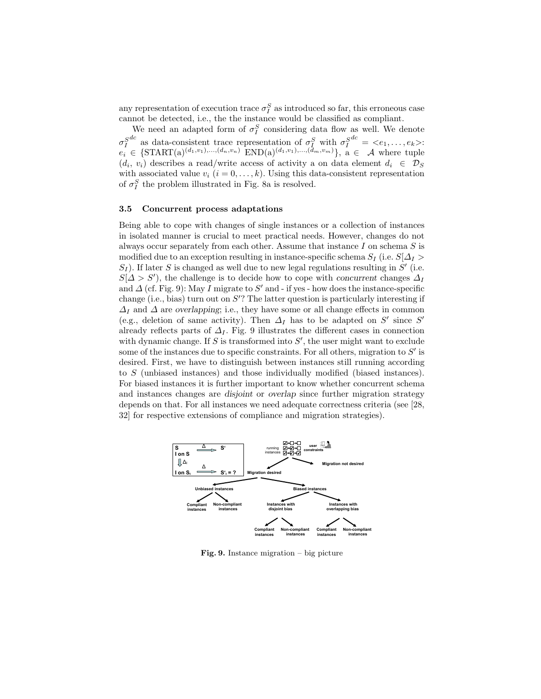any representation of execution trace  $\sigma_I^S$  as introduced so far, this erroneous case cannot be detected, i.e., the the instance would be classified as compliant.

We need an adapted form of  $\sigma_I^S$  considering data flow as well. We denote  $\sigma_I^{Sdc}$  as data-consistent trace representation of  $\sigma_I^S$  with  $\sigma_I^S$  $e^{dc} = \langle e_1, \ldots, e_k \rangle$ :  $e_i \in {\rm \{START(a)}^{(d_1, v_1), ..., (d_n, v_n)} \text{ END(a)}^{(d_1, v_1), ..., (d_m, v_m)}\}, a \in \mathcal{A}$  where tuple  $(d_i, v_i)$  describes a read/write access of activity a on data element  $d_i \in \mathcal{D}_S$ with associated value  $v_i$   $(i = 0, \ldots, k)$ . Using this data-consistent representation of  $\sigma_I^S$  the problem illustrated in Fig. 8a is resolved.

#### 3.5 Concurrent process adaptations

Being able to cope with changes of single instances or a collection of instances in isolated manner is crucial to meet practical needs. However, changes do not always occur separately from each other. Assume that instance  $I$  on schema  $S$  is modified due to an exception resulting in instance-specific schema  $S_I$  (i.e.  $S[\Delta_I >$  $S_I$ ). If later S is changed as well due to new legal regulations resulting in S' (i.e.  $S[\Delta S']$ , the challenge is to decide how to cope with concurrent changes  $\Delta_I$ and  $\Delta$  (cf. Fig. 9): May I migrate to S' and - if yes - how does the instance-specific change (i.e., bias) turn out on  $S'$ ? The latter question is particularly interesting if  $\Delta_I$  and  $\Delta$  are overlapping; i.e., they have some or all change effects in common (e.g., deletion of same activity). Then  $\Delta_I$  has to be adapted on S' since S' already reflects parts of  $\Delta_I$ . Fig. 9 illustrates the different cases in connection with dynamic change. If  $S$  is transformed into  $S'$ , the user might want to exclude some of the instances due to specific constraints. For all others, migration to  $S'$  is desired. First, we have to distinguish between instances still running according to S (unbiased instances) and those individually modified (biased instances). For biased instances it is further important to know whether concurrent schema and instances changes are disjoint or overlap since further migration strategy depends on that. For all instances we need adequate correctness criteria (see [28, 32] for respective extensions of compliance and migration strategies).



Fig. 9. Instance migration – big picture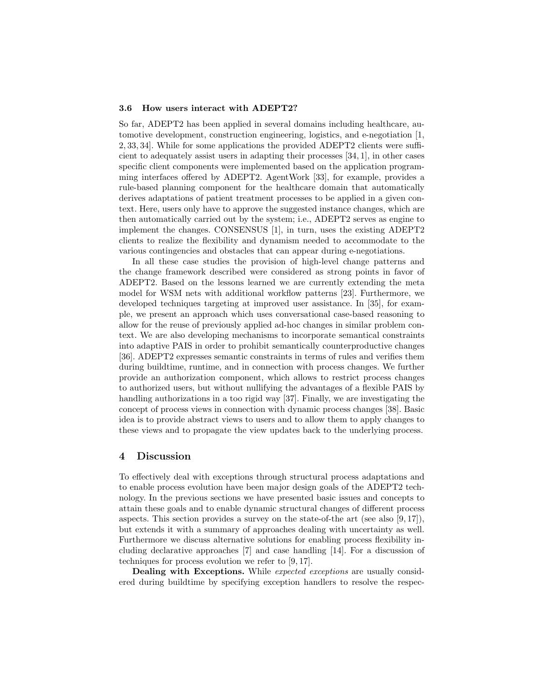#### 3.6 How users interact with ADEPT2?

So far, ADEPT2 has been applied in several domains including healthcare, automotive development, construction engineering, logistics, and e-negotiation [1, 2, 33, 34]. While for some applications the provided ADEPT2 clients were sufficient to adequately assist users in adapting their processes [34, 1], in other cases specific client components were implemented based on the application programming interfaces offered by ADEPT2. AgentWork [33], for example, provides a rule-based planning component for the healthcare domain that automatically derives adaptations of patient treatment processes to be applied in a given context. Here, users only have to approve the suggested instance changes, which are then automatically carried out by the system; i.e., ADEPT2 serves as engine to implement the changes. CONSENSUS [1], in turn, uses the existing ADEPT2 clients to realize the flexibility and dynamism needed to accommodate to the various contingencies and obstacles that can appear during e-negotiations.

In all these case studies the provision of high-level change patterns and the change framework described were considered as strong points in favor of ADEPT2. Based on the lessons learned we are currently extending the meta model for WSM nets with additional workflow patterns [23]. Furthermore, we developed techniques targeting at improved user assistance. In [35], for example, we present an approach which uses conversational case-based reasoning to allow for the reuse of previously applied ad-hoc changes in similar problem context. We are also developing mechanisms to incorporate semantical constraints into adaptive PAIS in order to prohibit semantically counterproductive changes [36]. ADEPT2 expresses semantic constraints in terms of rules and verifies them during buildtime, runtime, and in connection with process changes. We further provide an authorization component, which allows to restrict process changes to authorized users, but without nullifying the advantages of a flexible PAIS by handling authorizations in a too rigid way [37]. Finally, we are investigating the concept of process views in connection with dynamic process changes [38]. Basic idea is to provide abstract views to users and to allow them to apply changes to these views and to propagate the view updates back to the underlying process.

## 4 Discussion

To effectively deal with exceptions through structural process adaptations and to enable process evolution have been major design goals of the ADEPT2 technology. In the previous sections we have presented basic issues and concepts to attain these goals and to enable dynamic structural changes of different process aspects. This section provides a survey on the state-of-the art (see also [9, 17]), but extends it with a summary of approaches dealing with uncertainty as well. Furthermore we discuss alternative solutions for enabling process flexibility including declarative approaches [7] and case handling [14]. For a discussion of techniques for process evolution we refer to [9, 17].

Dealing with Exceptions. While expected exceptions are usually considered during buildtime by specifying exception handlers to resolve the respec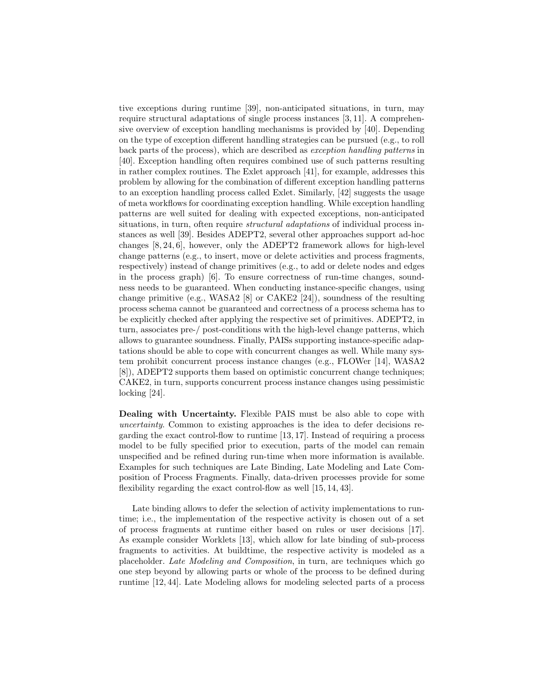tive exceptions during runtime [39], non-anticipated situations, in turn, may require structural adaptations of single process instances [3, 11]. A comprehensive overview of exception handling mechanisms is provided by [40]. Depending on the type of exception different handling strategies can be pursued (e.g., to roll back parts of the process), which are described as exception handling patterns in [40]. Exception handling often requires combined use of such patterns resulting in rather complex routines. The Exlet approach [41], for example, addresses this problem by allowing for the combination of different exception handling patterns to an exception handling process called Exlet. Similarly, [42] suggests the usage of meta workflows for coordinating exception handling. While exception handling patterns are well suited for dealing with expected exceptions, non-anticipated situations, in turn, often require *structural adaptations* of individual process instances as well [39]. Besides ADEPT2, several other approaches support ad-hoc changes [8, 24, 6], however, only the ADEPT2 framework allows for high-level change patterns (e.g., to insert, move or delete activities and process fragments, respectively) instead of change primitives (e.g., to add or delete nodes and edges in the process graph) [6]. To ensure correctness of run-time changes, soundness needs to be guaranteed. When conducting instance-specific changes, using change primitive (e.g., WASA2 [8] or CAKE2 [24]), soundness of the resulting process schema cannot be guaranteed and correctness of a process schema has to be explicitly checked after applying the respective set of primitives. ADEPT2, in turn, associates pre-/ post-conditions with the high-level change patterns, which allows to guarantee soundness. Finally, PAISs supporting instance-specific adaptations should be able to cope with concurrent changes as well. While many system prohibit concurrent process instance changes (e.g., FLOWer [14], WASA2 [8]), ADEPT2 supports them based on optimistic concurrent change techniques; CAKE2, in turn, supports concurrent process instance changes using pessimistic locking [24].

Dealing with Uncertainty. Flexible PAIS must be also able to cope with uncertainty. Common to existing approaches is the idea to defer decisions regarding the exact control-flow to runtime [13, 17]. Instead of requiring a process model to be fully specified prior to execution, parts of the model can remain unspecified and be refined during run-time when more information is available. Examples for such techniques are Late Binding, Late Modeling and Late Composition of Process Fragments. Finally, data-driven processes provide for some flexibility regarding the exact control-flow as well [15, 14, 43].

Late binding allows to defer the selection of activity implementations to runtime; i.e., the implementation of the respective activity is chosen out of a set of process fragments at runtime either based on rules or user decisions [17]. As example consider Worklets [13], which allow for late binding of sub-process fragments to activities. At buildtime, the respective activity is modeled as a placeholder. Late Modeling and Composition, in turn, are techniques which go one step beyond by allowing parts or whole of the process to be defined during runtime [12, 44]. Late Modeling allows for modeling selected parts of a process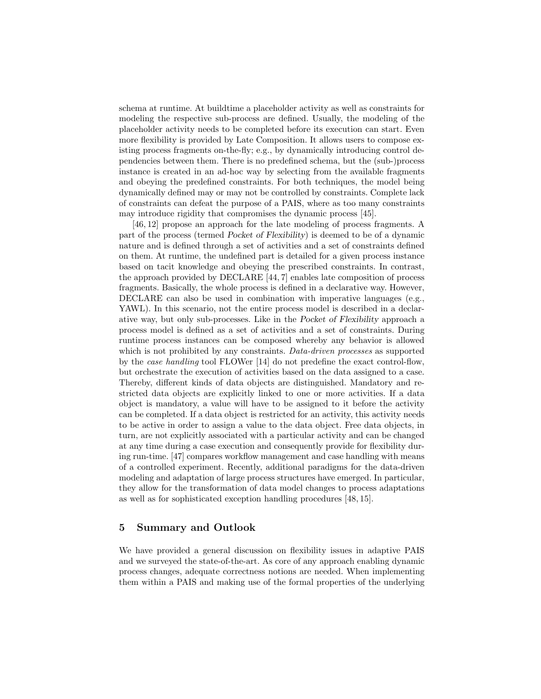schema at runtime. At buildtime a placeholder activity as well as constraints for modeling the respective sub-process are defined. Usually, the modeling of the placeholder activity needs to be completed before its execution can start. Even more flexibility is provided by Late Composition. It allows users to compose existing process fragments on-the-fly; e.g., by dynamically introducing control dependencies between them. There is no predefined schema, but the (sub-)process instance is created in an ad-hoc way by selecting from the available fragments and obeying the predefined constraints. For both techniques, the model being dynamically defined may or may not be controlled by constraints. Complete lack of constraints can defeat the purpose of a PAIS, where as too many constraints may introduce rigidity that compromises the dynamic process [45].

[46, 12] propose an approach for the late modeling of process fragments. A part of the process (termed Pocket of Flexibility) is deemed to be of a dynamic nature and is defined through a set of activities and a set of constraints defined on them. At runtime, the undefined part is detailed for a given process instance based on tacit knowledge and obeying the prescribed constraints. In contrast, the approach provided by DECLARE [44, 7] enables late composition of process fragments. Basically, the whole process is defined in a declarative way. However, DECLARE can also be used in combination with imperative languages (e.g., YAWL). In this scenario, not the entire process model is described in a declarative way, but only sub-processes. Like in the Pocket of Flexibility approach a process model is defined as a set of activities and a set of constraints. During runtime process instances can be composed whereby any behavior is allowed which is not prohibited by any constraints. Data-driven processes as supported by the case handling tool FLOWer [14] do not predefine the exact control-flow, but orchestrate the execution of activities based on the data assigned to a case. Thereby, different kinds of data objects are distinguished. Mandatory and restricted data objects are explicitly linked to one or more activities. If a data object is mandatory, a value will have to be assigned to it before the activity can be completed. If a data object is restricted for an activity, this activity needs to be active in order to assign a value to the data object. Free data objects, in turn, are not explicitly associated with a particular activity and can be changed at any time during a case execution and consequently provide for flexibility during run-time. [47] compares workflow management and case handling with means of a controlled experiment. Recently, additional paradigms for the data-driven modeling and adaptation of large process structures have emerged. In particular, they allow for the transformation of data model changes to process adaptations as well as for sophisticated exception handling procedures [48, 15].

## 5 Summary and Outlook

We have provided a general discussion on flexibility issues in adaptive PAIS and we surveyed the state-of-the-art. As core of any approach enabling dynamic process changes, adequate correctness notions are needed. When implementing them within a PAIS and making use of the formal properties of the underlying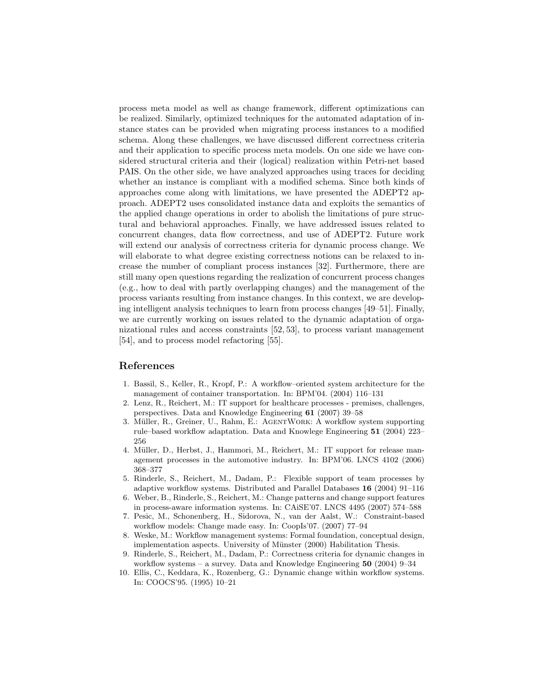process meta model as well as change framework, different optimizations can be realized. Similarly, optimized techniques for the automated adaptation of instance states can be provided when migrating process instances to a modified schema. Along these challenges, we have discussed different correctness criteria and their application to specific process meta models. On one side we have considered structural criteria and their (logical) realization within Petri-net based PAIS. On the other side, we have analyzed approaches using traces for deciding whether an instance is compliant with a modified schema. Since both kinds of approaches come along with limitations, we have presented the ADEPT2 approach. ADEPT2 uses consolidated instance data and exploits the semantics of the applied change operations in order to abolish the limitations of pure structural and behavioral approaches. Finally, we have addressed issues related to concurrent changes, data flow correctness, and use of ADEPT2. Future work will extend our analysis of correctness criteria for dynamic process change. We will elaborate to what degree existing correctness notions can be relaxed to increase the number of compliant process instances [32]. Furthermore, there are still many open questions regarding the realization of concurrent process changes (e.g., how to deal with partly overlapping changes) and the management of the process variants resulting from instance changes. In this context, we are developing intelligent analysis techniques to learn from process changes [49–51]. Finally, we are currently working on issues related to the dynamic adaptation of organizational rules and access constraints [52, 53], to process variant management [54], and to process model refactoring [55].

## References

- 1. Bassil, S., Keller, R., Kropf, P.: A workflow–oriented system architecture for the management of container transportation. In: BPM'04. (2004) 116–131
- 2. Lenz, R., Reichert, M.: IT support for healthcare processes premises, challenges, perspectives. Data and Knowledge Engineering 61 (2007) 39–58
- 3. Müller, R., Greiner, U., Rahm, E.: AGENTWORK: A workflow system supporting rule–based workflow adaptation. Data and Knowlege Engineering 51 (2004) 223– 256
- 4. Müller, D., Herbst, J., Hammori, M., Reichert, M.: IT support for release management processes in the automotive industry. In: BPM'06. LNCS 4102 (2006) 368–377
- 5. Rinderle, S., Reichert, M., Dadam, P.: Flexible support of team processes by adaptive workflow systems. Distributed and Parallel Databases 16 (2004) 91–116
- 6. Weber, B., Rinderle, S., Reichert, M.: Change patterns and change support features in process-aware information systems. In: CAiSE'07. LNCS 4495 (2007) 574–588
- 7. Pesic, M., Schonenberg, H., Sidorova, N., van der Aalst, W.: Constraint-based workflow models: Change made easy. In: CoopIs'07. (2007) 77–94
- 8. Weske, M.: Workflow management systems: Formal foundation, conceptual design, implementation aspects. University of Münster (2000) Habilitation Thesis.
- 9. Rinderle, S., Reichert, M., Dadam, P.: Correctness criteria for dynamic changes in workflow systems – a survey. Data and Knowledge Engineering  $50$  (2004) 9–34
- 10. Ellis, C., Keddara, K., Rozenberg, G.: Dynamic change within workflow systems. In: COOCS'95. (1995) 10–21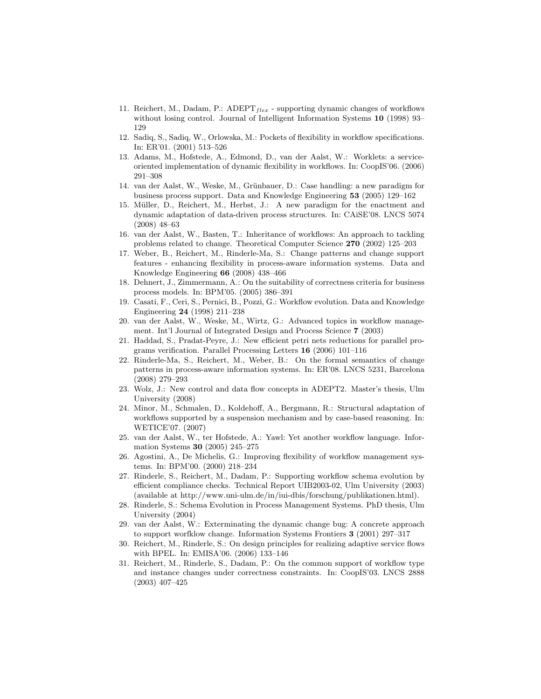- 11. Reichert, M., Dadam, P.: ADEPT $_{flex}$  supporting dynamic changes of workflows without losing control. Journal of Intelligent Information Systems 10 (1998) 93– 129
- 12. Sadiq, S., Sadiq, W., Orlowska, M.: Pockets of flexibility in workflow specifications. In: ER'01. (2001) 513–526
- 13. Adams, M., Hofstede, A., Edmond, D., van der Aalst, W.: Worklets: a serviceoriented implementation of dynamic flexibility in workflows. In: CoopIS'06. (2006) 291–308
- 14. van der Aalst, W., Weske, M., Grünbauer, D.: Case handling: a new paradigm for business process support. Data and Knowledge Engineering 53 (2005) 129–162
- 15. Müller, D., Reichert, M., Herbst, J.: A new paradigm for the enactment and dynamic adaptation of data-driven process structures. In: CAiSE'08. LNCS 5074 (2008) 48–63
- 16. van der Aalst, W., Basten, T.: Inheritance of workflows: An approach to tackling problems related to change. Theoretical Computer Science 270 (2002) 125–203
- 17. Weber, B., Reichert, M., Rinderle-Ma, S.: Change patterns and change support features - enhancing flexibility in process-aware information systems. Data and Knowledge Engineering 66 (2008) 438–466
- 18. Dehnert, J., Zimmermann, A.: On the suitability of correctness criteria for business process models. In: BPM'05. (2005) 386–391
- 19. Casati, F., Ceri, S., Pernici, B., Pozzi, G.: Workflow evolution. Data and Knowledge Engineering 24 (1998) 211–238
- 20. van der Aalst, W., Weske, M., Wirtz, G.: Advanced topics in workflow management. Int'l Journal of Integrated Design and Process Science 7 (2003)
- 21. Haddad, S., Pradat-Peyre, J.: New efficient petri nets reductions for parallel programs verification. Parallel Processing Letters 16 (2006) 101–116
- 22. Rinderle-Ma, S., Reichert, M., Weber, B.: On the formal semantics of change patterns in process-aware information systems. In: ER'08. LNCS 5231, Barcelona (2008) 279–293
- 23. Wolz, J.: New control and data flow concepts in ADEPT2. Master's thesis, Ulm University (2008)
- 24. Minor, M., Schmalen, D., Koldehoff, A., Bergmann, R.: Structural adaptation of workflows supported by a suspension mechanism and by case-based reasoning. In: WETICE'07. (2007)
- 25. van der Aalst, W., ter Hofstede, A.: Yawl: Yet another workflow language. Information Systems 30 (2005) 245–275
- 26. Agostini, A., De Michelis, G.: Improving flexibility of workflow management systems. In: BPM'00. (2000) 218–234
- 27. Rinderle, S., Reichert, M., Dadam, P.: Supporting workflow schema evolution by efficient compliance checks. Technical Report UIB2003-02, Ulm University (2003) (available at http://www.uni-ulm.de/in/iui-dbis/forschung/publikationen.html).
- 28. Rinderle, S.: Schema Evolution in Process Management Systems. PhD thesis, Ulm University (2004)
- 29. van der Aalst, W.: Exterminating the dynamic change bug: A concrete approach to support worfklow change. Information Systems Frontiers 3 (2001) 297–317
- 30. Reichert, M., Rinderle, S.: On design principles for realizing adaptive service flows with BPEL. In: EMISA'06. (2006) 133–146
- 31. Reichert, M., Rinderle, S., Dadam, P.: On the common support of workflow type and instance changes under correctness constraints. In: CoopIS'03. LNCS 2888 (2003) 407–425